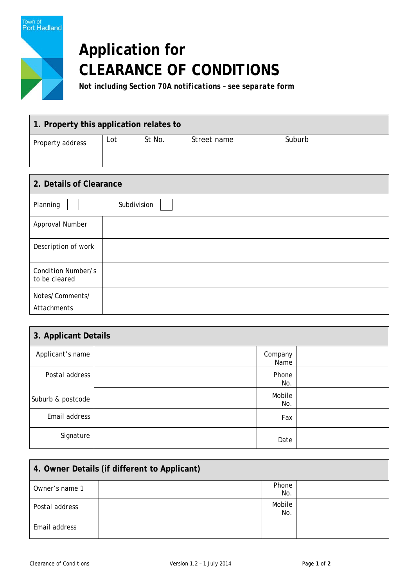

## **Application for CLEARANCE OF CONDITIONS**

*Not including Section 70A notifications – see separate form*

| 1. Property this application relates to |     |        |             |        |
|-----------------------------------------|-----|--------|-------------|--------|
| Property address                        | Lot | St No. | Street name | Suburb |
|                                         |     |        |             |        |
|                                         |     |        |             |        |

| 2. Details of Clearance             |             |  |
|-------------------------------------|-------------|--|
| Planning                            | Subdivision |  |
| Approval Number                     |             |  |
| Description of work                 |             |  |
| Condition Number/s<br>to be cleared |             |  |
| Notes/Comments/<br>Attachments      |             |  |

| 3. Applicant Details |  |                 |  |
|----------------------|--|-----------------|--|
| Applicant's name     |  | Company<br>Name |  |
| Postal address       |  | Phone<br>No.    |  |
| Suburb & postcode    |  | Mobile<br>No.   |  |
| Email address        |  | Fax             |  |
| Signature            |  | Date            |  |

| 4. Owner Details (if different to Applicant) |  |               |  |
|----------------------------------------------|--|---------------|--|
| Owner's name 1                               |  | Phone<br>No.  |  |
| Postal address                               |  | Mobile<br>No. |  |
| Email address                                |  |               |  |